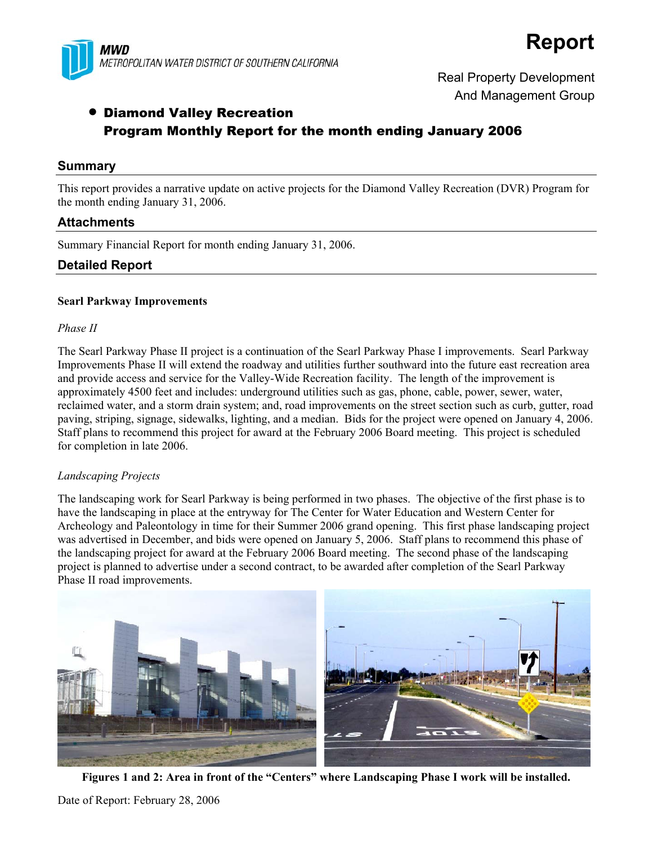

# **Report**

Real Property Development And Management Group

# • Diamond Valley Recreation Program Monthly Report for the month ending January 2006

#### **Summary**

This report provides a narrative update on active projects for the Diamond Valley Recreation (DVR) Program for the month ending January 31, 2006.

## **Attachments**

Summary Financial Report for month ending January 31, 2006.

## **Detailed Report**

#### **Searl Parkway Improvements**

#### *Phase II*

The Searl Parkway Phase II project is a continuation of the Searl Parkway Phase I improvements. Searl Parkway Improvements Phase II will extend the roadway and utilities further southward into the future east recreation area and provide access and service for the Valley-Wide Recreation facility. The length of the improvement is approximately 4500 feet and includes: underground utilities such as gas, phone, cable, power, sewer, water, reclaimed water, and a storm drain system; and, road improvements on the street section such as curb, gutter, road paving, striping, signage, sidewalks, lighting, and a median. Bids for the project were opened on January 4, 2006. Staff plans to recommend this project for award at the February 2006 Board meeting. This project is scheduled for completion in late 2006.

#### *Landscaping Projects*

The landscaping work for Searl Parkway is being performed in two phases. The objective of the first phase is to have the landscaping in place at the entryway for The Center for Water Education and Western Center for Archeology and Paleontology in time for their Summer 2006 grand opening. This first phase landscaping project was advertised in December, and bids were opened on January 5, 2006. Staff plans to recommend this phase of the landscaping project for award at the February 2006 Board meeting. The second phase of the landscaping project is planned to advertise under a second contract, to be awarded after completion of the Searl Parkway Phase II road improvements.



**Figures 1 and 2: Area in front of the "Centers" where Landscaping Phase I work will be installed.** 

Date of Report: February 28, 2006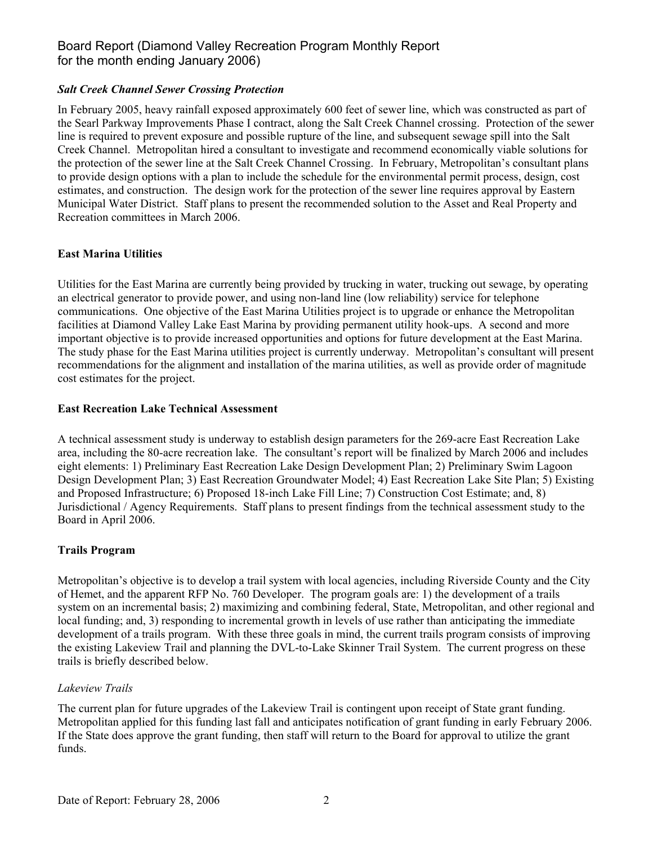## Board Report (Diamond Valley Recreation Program Monthly Report for the month ending January 2006)

#### *Salt Creek Channel Sewer Crossing Protection*

In February 2005, heavy rainfall exposed approximately 600 feet of sewer line, which was constructed as part of the Searl Parkway Improvements Phase I contract, along the Salt Creek Channel crossing. Protection of the sewer line is required to prevent exposure and possible rupture of the line, and subsequent sewage spill into the Salt Creek Channel. Metropolitan hired a consultant to investigate and recommend economically viable solutions for the protection of the sewer line at the Salt Creek Channel Crossing. In February, Metropolitan's consultant plans to provide design options with a plan to include the schedule for the environmental permit process, design, cost estimates, and construction. The design work for the protection of the sewer line requires approval by Eastern Municipal Water District. Staff plans to present the recommended solution to the Asset and Real Property and Recreation committees in March 2006.

#### **East Marina Utilities**

Utilities for the East Marina are currently being provided by trucking in water, trucking out sewage, by operating an electrical generator to provide power, and using non-land line (low reliability) service for telephone communications. One objective of the East Marina Utilities project is to upgrade or enhance the Metropolitan facilities at Diamond Valley Lake East Marina by providing permanent utility hook-ups. A second and more important objective is to provide increased opportunities and options for future development at the East Marina. The study phase for the East Marina utilities project is currently underway. Metropolitan's consultant will present recommendations for the alignment and installation of the marina utilities, as well as provide order of magnitude cost estimates for the project.

#### **East Recreation Lake Technical Assessment**

A technical assessment study is underway to establish design parameters for the 269-acre East Recreation Lake area, including the 80-acre recreation lake. The consultant's report will be finalized by March 2006 and includes eight elements: 1) Preliminary East Recreation Lake Design Development Plan; 2) Preliminary Swim Lagoon Design Development Plan; 3) East Recreation Groundwater Model; 4) East Recreation Lake Site Plan; 5) Existing and Proposed Infrastructure; 6) Proposed 18-inch Lake Fill Line; 7) Construction Cost Estimate; and, 8) Jurisdictional / Agency Requirements. Staff plans to present findings from the technical assessment study to the Board in April 2006.

## **Trails Program**

Metropolitan's objective is to develop a trail system with local agencies, including Riverside County and the City of Hemet, and the apparent RFP No. 760 Developer. The program goals are: 1) the development of a trails system on an incremental basis; 2) maximizing and combining federal, State, Metropolitan, and other regional and local funding; and, 3) responding to incremental growth in levels of use rather than anticipating the immediate development of a trails program. With these three goals in mind, the current trails program consists of improving the existing Lakeview Trail and planning the DVL-to-Lake Skinner Trail System. The current progress on these trails is briefly described below.

## *Lakeview Trails*

The current plan for future upgrades of the Lakeview Trail is contingent upon receipt of State grant funding. Metropolitan applied for this funding last fall and anticipates notification of grant funding in early February 2006. If the State does approve the grant funding, then staff will return to the Board for approval to utilize the grant funds.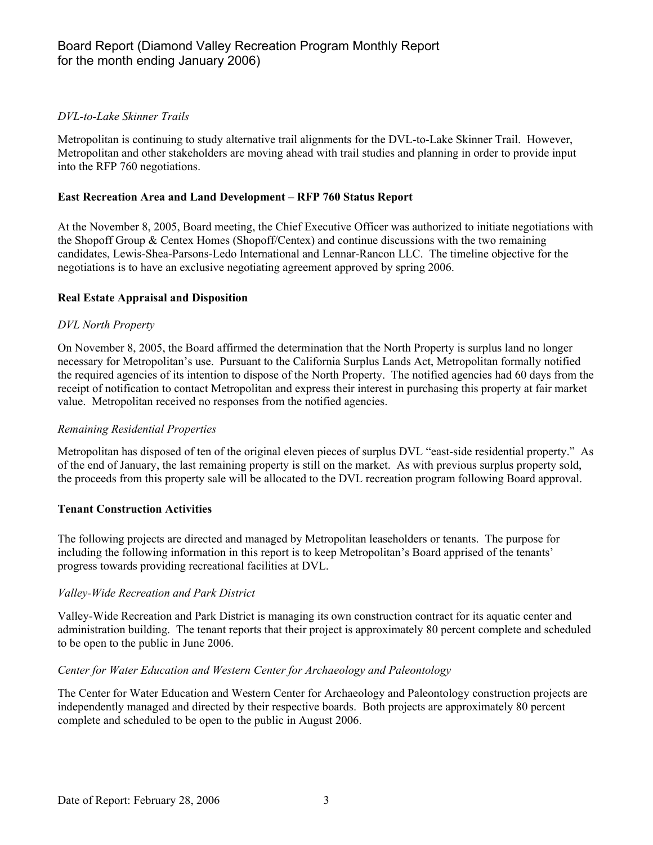## *DVL-to-Lake Skinner Trails*

Metropolitan is continuing to study alternative trail alignments for the DVL-to-Lake Skinner Trail. However, Metropolitan and other stakeholders are moving ahead with trail studies and planning in order to provide input into the RFP 760 negotiations.

#### **East Recreation Area and Land Development – RFP 760 Status Report**

At the November 8, 2005, Board meeting, the Chief Executive Officer was authorized to initiate negotiations with the Shopoff Group & Centex Homes (Shopoff/Centex) and continue discussions with the two remaining candidates, Lewis-Shea-Parsons-Ledo International and Lennar-Rancon LLC. The timeline objective for the negotiations is to have an exclusive negotiating agreement approved by spring 2006.

#### **Real Estate Appraisal and Disposition**

#### *DVL North Property*

On November 8, 2005, the Board affirmed the determination that the North Property is surplus land no longer necessary for Metropolitan's use. Pursuant to the California Surplus Lands Act, Metropolitan formally notified the required agencies of its intention to dispose of the North Property. The notified agencies had 60 days from the receipt of notification to contact Metropolitan and express their interest in purchasing this property at fair market value. Metropolitan received no responses from the notified agencies.

#### *Remaining Residential Properties*

Metropolitan has disposed of ten of the original eleven pieces of surplus DVL "east-side residential property." As of the end of January, the last remaining property is still on the market. As with previous surplus property sold, the proceeds from this property sale will be allocated to the DVL recreation program following Board approval.

#### **Tenant Construction Activities**

The following projects are directed and managed by Metropolitan leaseholders or tenants. The purpose for including the following information in this report is to keep Metropolitan's Board apprised of the tenants' progress towards providing recreational facilities at DVL.

## *Valley-Wide Recreation and Park District*

Valley-Wide Recreation and Park District is managing its own construction contract for its aquatic center and administration building. The tenant reports that their project is approximately 80 percent complete and scheduled to be open to the public in June 2006.

#### *Center for Water Education and Western Center for Archaeology and Paleontology*

The Center for Water Education and Western Center for Archaeology and Paleontology construction projects are independently managed and directed by their respective boards. Both projects are approximately 80 percent complete and scheduled to be open to the public in August 2006.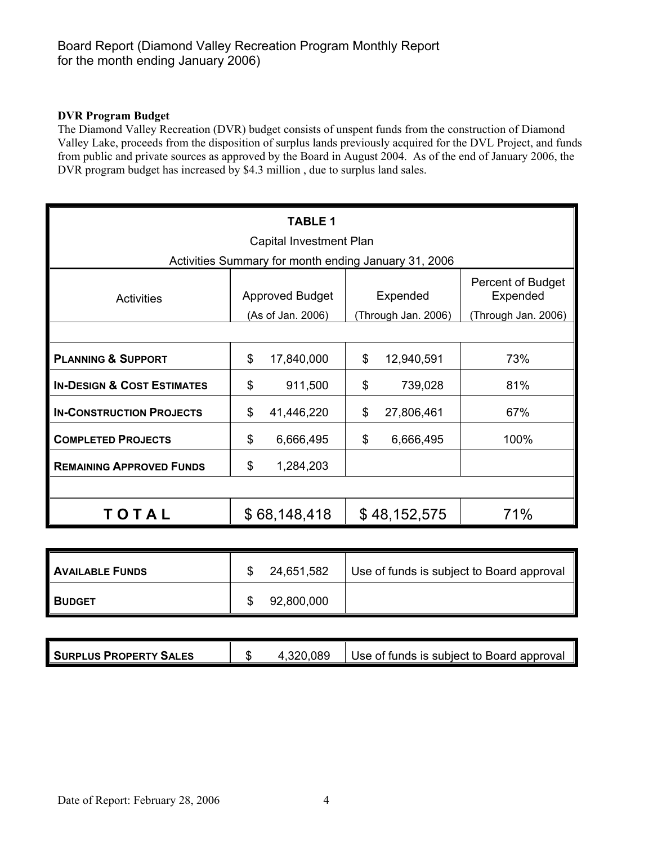## **DVR Program Budget**

The Diamond Valley Recreation (DVR) budget consists of unspent funds from the construction of Diamond Valley Lake, proceeds from the disposition of surplus lands previously acquired for the DVL Project, and funds from public and private sources as approved by the Board in August 2004. As of the end of January 2006, the DVR program budget has increased by \$4.3 million, due to surplus land sales.

| <b>TABLE 1</b>                                       |                             |                     |                                      |  |  |  |  |  |
|------------------------------------------------------|-----------------------------|---------------------|--------------------------------------|--|--|--|--|--|
| Capital Investment Plan                              |                             |                     |                                      |  |  |  |  |  |
| Activities Summary for month ending January 31, 2006 |                             |                     |                                      |  |  |  |  |  |
| <b>Activities</b>                                    | <b>Approved Budget</b>      | Expended            | <b>Percent of Budget</b><br>Expended |  |  |  |  |  |
|                                                      | (As of Jan. 2006)           | (Through Jan. 2006) | (Through Jan. 2006)                  |  |  |  |  |  |
|                                                      |                             |                     |                                      |  |  |  |  |  |
| <b>PLANNING &amp; SUPPORT</b>                        | $\mathcal{L}$<br>17,840,000 | \$<br>12,940,591    | 73%                                  |  |  |  |  |  |
| <b>IN-DESIGN &amp; COST ESTIMATES</b>                | \$<br>911,500               | \$<br>739,028       | 81%                                  |  |  |  |  |  |
| <b>IN-CONSTRUCTION PROJECTS</b>                      | \$<br>41,446,220            | \$<br>27,806,461    | 67%                                  |  |  |  |  |  |
| <b>COMPLETED PROJECTS</b>                            | \$<br>6,666,495             | \$<br>6,666,495     | 100%                                 |  |  |  |  |  |
| <b>REMAINING APPROVED FUNDS</b>                      | \$<br>1,284,203             |                     |                                      |  |  |  |  |  |
|                                                      |                             |                     |                                      |  |  |  |  |  |
| TOTAL                                                | \$68,148,418                | \$48,152,575        | 71%                                  |  |  |  |  |  |

| <b>AVAILABLE FUNDS</b> | 24,651,582 | Use of funds is subject to Board approval |
|------------------------|------------|-------------------------------------------|
| <b>BUDGET</b>          | 92,800,000 |                                           |

| <b>SURPLUS PROPERTY SALES</b> | æ<br>۰D | .320,089 | Use of funds is subject to Board approval |
|-------------------------------|---------|----------|-------------------------------------------|
|-------------------------------|---------|----------|-------------------------------------------|